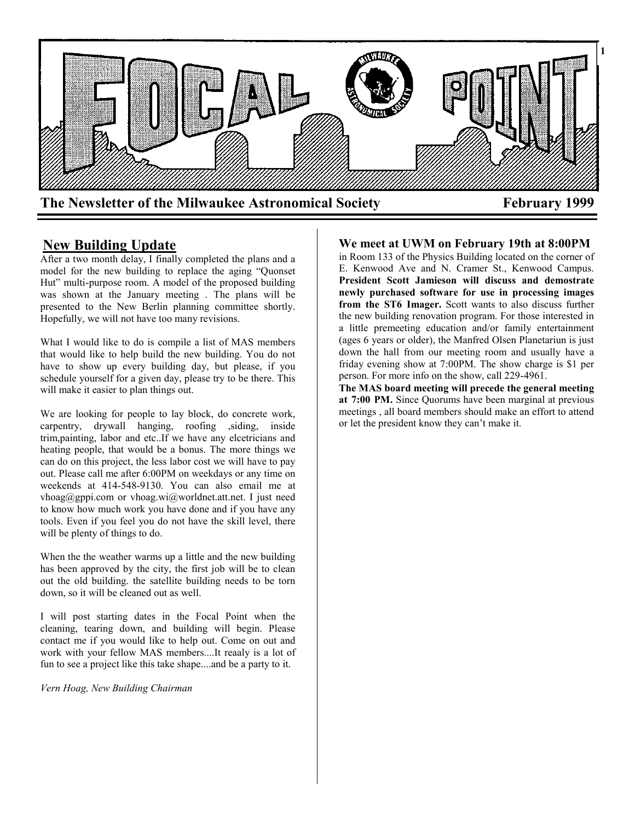

# **New Building Update**

After a two month delay, I finally completed the plans and a model for the new building to replace the aging "Quonset Hut" multi-purpose room. A model of the proposed building was shown at the January meeting . The plans will be presented to the New Berlin planning committee shortly. Hopefully, we will not have too many revisions.

What I would like to do is compile a list of MAS members that would like to help build the new building. You do not have to show up every building day, but please, if you schedule yourself for a given day, please try to be there. This will make it easier to plan things out.

We are looking for people to lay block, do concrete work, carpentry, drywall hanging, roofing ,siding, inside trim,painting, labor and etc..If we have any elcetricians and heating people, that would be a bonus. The more things we can do on this project, the less labor cost we will have to pay out. Please call me after 6:00PM on weekdays or any time on weekends at 414-548-9130. You can also email me at vhoag@gppi.com or vhoag.wi@worldnet.att.net. I just need to know how much work you have done and if you have any tools. Even if you feel you do not have the skill level, there will be plenty of things to do.

When the the weather warms up a little and the new building has been approved by the city, the first job will be to clean out the old building. the satellite building needs to be torn down, so it will be cleaned out as well.

I will post starting dates in the Focal Point when the cleaning, tearing down, and building will begin. Please contact me if you would like to help out. Come on out and work with your fellow MAS members....It reaaly is a lot of fun to see a project like this take shape....and be a party to it.

*Vern Hoag, New Building Chairman*

# **We meet at UWM on February 19th at 8:00PM**

in Room 133 of the Physics Building located on the corner of E. Kenwood Ave and N. Cramer St., Kenwood Campus. **President Scott Jamieson will discuss and demostrate newly purchased software for use in processing images from the ST6 Imager.** Scott wants to also discuss further the new building renovation program. For those interested in a little premeeting education and/or family entertainment (ages 6 years or older), the Manfred Olsen Planetariun is just down the hall from our meeting room and usually have a friday evening show at 7:00PM. The show charge is \$1 per person. For more info on the show, call 229-4961.

**The MAS board meeting will precede the general meeting at 7:00 PM.** Since Quorums have been marginal at previous meetings , all board members should make an effort to attend or let the president know they can't make it.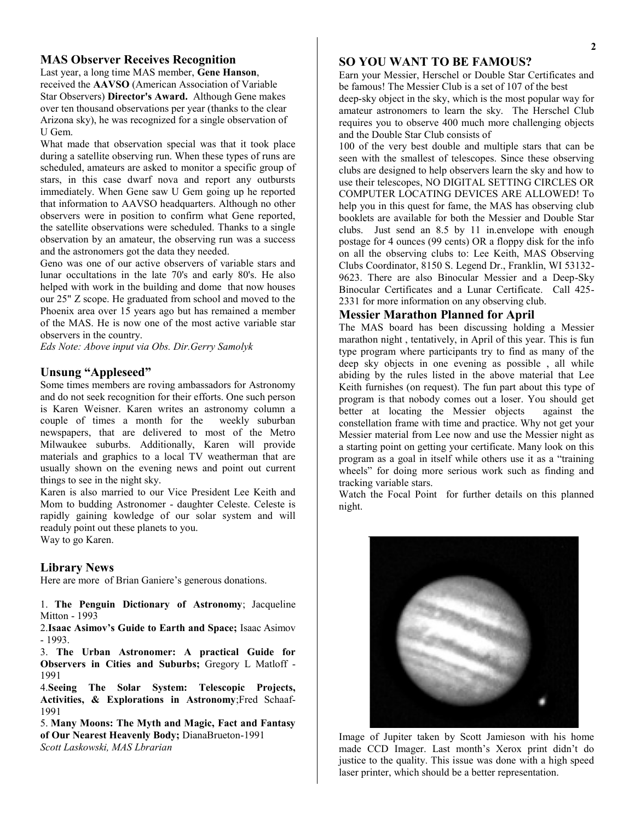### **MAS Observer Receives Recognition**

Last year, a long time MAS member, **Gene Hanson**, received the **AAVSO** (American Association of Variable Star Observers) **Director's Award.** Although Gene makes over ten thousand observations per year (thanks to the clear Arizona sky), he was recognized for a single observation of U Gem.

What made that observation special was that it took place during a satellite observing run. When these types of runs are scheduled, amateurs are asked to monitor a specific group of stars, in this case dwarf nova and report any outbursts immediately. When Gene saw U Gem going up he reported that information to AAVSO headquarters. Although no other observers were in position to confirm what Gene reported, the satellite observations were scheduled. Thanks to a single observation by an amateur, the observing run was a success and the astronomers got the data they needed.

Geno was one of our active observers of variable stars and lunar occultations in the late 70's and early 80's. He also helped with work in the building and dome that now houses our 25" Z scope. He graduated from school and moved to the Phoenix area over 15 years ago but has remained a member of the MAS. He is now one of the most active variable star observers in the country.

*Eds Note: Above input via Obs. Dir.Gerry Samolyk*

#### **Unsung "Appleseed"**

Some times members are roving ambassadors for Astronomy and do not seek recognition for their efforts. One such person is Karen Weisner. Karen writes an astronomy column a couple of times a month for the weekly suburban newspapers, that are delivered to most of the Metro Milwaukee suburbs. Additionally, Karen will provide materials and graphics to a local TV weatherman that are usually shown on the evening news and point out current things to see in the night sky.

Karen is also married to our Vice President Lee Keith and Mom to budding Astronomer - daughter Celeste. Celeste is rapidly gaining kowledge of our solar system and will readuly point out these planets to you. Way to go Karen.

#### **Library News**

Here are more of Brian Ganiere's generous donations.

1. **The Penguin Dictionary of Astronomy**; Jacqueline Mitton - 1993

2.**Isaac Asimov's Guide to Earth and Space;** Isaac Asimov - 1993.

3. **The Urban Astronomer: A practical Guide for Observers in Cities and Suburbs;** Gregory L Matloff - 1991

4.**Seeing The Solar System: Telescopic Projects, Activities, & Explorations in Astronomy**;Fred Schaaf-1991

5. **Many Moons: The Myth and Magic, Fact and Fantasy of Our Nearest Heavenly Body;** DianaBrueton-1991 *Scott Laskowski, MAS Lbrarian*

## **SO YOU WANT TO BE FAMOUS?**

Earn your Messier, Herschel or Double Star Certificates and be famous! The Messier Club is a set of 107 of the best deep-sky object in the sky, which is the most popular way for

amateur astronomers to learn the sky. The Herschel Club requires you to observe 400 much more challenging objects and the Double Star Club consists of

100 of the very best double and multiple stars that can be seen with the smallest of telescopes. Since these observing clubs are designed to help observers learn the sky and how to use their telescopes, NO DIGITAL SETTING CIRCLES OR COMPUTER LOCATING DEVICES ARE ALLOWED! To help you in this quest for fame, the MAS has observing club booklets are available for both the Messier and Double Star clubs. Just send an 8.5 by 11 in.envelope with enough postage for 4 ounces (99 cents) OR a floppy disk for the info on all the observing clubs to: Lee Keith, MAS Observing Clubs Coordinator, 8150 S. Legend Dr., Franklin, WI 53132- 9623. There are also Binocular Messier and a Deep-Sky Binocular Certificates and a Lunar Certificate. Call 425- 2331 for more information on any observing club.

#### **Messier Marathon Planned for April**

The MAS board has been discussing holding a Messier marathon night , tentatively, in April of this year. This is fun type program where participants try to find as many of the deep sky objects in one evening as possible , all while abiding by the rules listed in the above material that Lee Keith furnishes (on request). The fun part about this type of program is that nobody comes out a loser. You should get better at locating the Messier objects against the constellation frame with time and practice. Why not get your Messier material from Lee now and use the Messier night as a starting point on getting your certificate. Many look on this program as a goal in itself while others use it as a "training wheels" for doing more serious work such as finding and tracking variable stars.

Watch the Focal Point for further details on this planned night.



Image of Jupiter taken by Scott Jamieson with his home made CCD Imager. Last month's Xerox print didn't do justice to the quality. This issue was done with a high speed laser printer, which should be a better representation.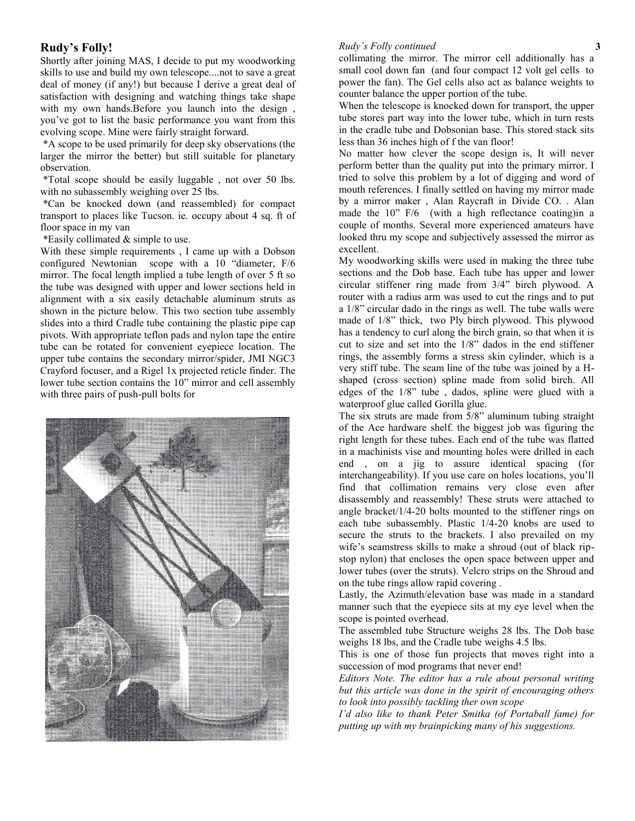## **Rudy's Folly!**

Shortly after joining MAS, I decide to put my woodworking skills to use and build my own telescope....not to save a great deal of money (if any!) but because I derive a great deal of satisfaction with designing and watching things take shape with my own hands.Before you launch into the design , you've got to list the basic performance you want from this evolving scope. Mine were fairly straight forward.

\*A scope to be used primarily for deep sky observations (the larger the mirror the better) but still suitable for planetary observation.

\*Total scope should be easily luggable , not over 50 lbs. with no subassembly weighing over 25 lbs.

\*Can be knocked down (and reassembled) for compact transport to places like Tucson. ie. occupy about 4 sq. ft of floor space in my van

\*Easily collimated & simple to use.

With these simple requirements , I came up with a Dobson configured Newtonian scope with a 10 "diameter, F/6 mirror. The focal length implied a tube length of over 5 ft so the tube was designed with upper and lower sections held in alignment with a six easily detachable aluminum struts as shown in the picture below. This two section tube assembly slides into a third Cradle tube containing the plastic pipe cap pivots. With appropriate teflon pads and nylon tape the entire tube can be rotated for convenient eyepiece location. The upper tube contains the secondary mirror/spider, JMI NGC3 Crayford focuser, and a Rigel 1x projected reticle finder. The lower tube section contains the 10" mirror and cell assembly with three pairs of push-pull bolts for



#### *Rudy's Folly continued*

collimating the mirror. The mirror cell additionally has a small cool down fan (and four compact 12 volt gel cells to power the fan). The Gel cells also act as balance weights to counter balance the upper portion of the tube.

When the telescope is knocked down for transport, the upper tube stores part way into the lower tube, which in turn rests in the cradle tube and Dobsonian base. This stored stack sits less than 36 inches high of f the van floor!

No matter how clever the scope design is, It will never perform better than the quality put into the primary mirror. I tried to solve this problem by a lot of digging and word of mouth references. I finally settled on having my mirror made by a mirror maker , Alan Raycraft in Divide CO. . Alan made the 10" F/6 (with a high reflectance coating) in a couple of months. Several more experienced amateurs have looked thru my scope and subjectively assessed the mirror as excellent.

My woodworking skills were used in making the three tube sections and the Dob base. Each tube has upper and lower circular stiffener ring made from 3/4" birch plywood. A router with a radius arm was used to cut the rings and to put a 1/8" circular dado in the rings as well. The tube walls were made of 1/8" thick, two Ply birch plywood. This plywood has a tendency to curl along the birch grain, so that when it is cut to size and set into the 1/8" dados in the end stiffener rings, the assembly forms a stress skin cylinder, which is a very stiff tube. The seam line of the tube was joined by a Hshaped (cross section) spline made from solid birch. All edges of the 1/8" tube , dados, spline were glued with a waterproof glue called Gorilla glue.

The six struts are made from 5/8" aluminum tubing straight of the Ace hardware shelf. the biggest job was figuring the right length for these tubes. Each end of the tube was flatted in a machinists vise and mounting holes were drilled in each end , on a jig to assure identical spacing (for interchangeability). If you use care on holes locations, you'll find that collimation remains very close even after disassembly and reassembly! These struts were attached to angle bracket/1/4-20 bolts mounted to the stiffener rings on each tube subassembly. Plastic 1/4-20 knobs are used to secure the struts to the brackets. I also prevailed on my wife's seamstress skills to make a shroud (out of black ripstop nylon) that encloses the open space between upper and lower tubes (over the struts). Velcro strips on the Shroud and on the tube rings allow rapid covering .

Lastly, the Azimuth/elevation base was made in a standard manner such that the eyepiece sits at my eye level when the scope is pointed overhead.

The assembled tube Structure weighs 28 lbs. The Dob base weighs 18 lbs, and the Cradle tube weighs 4.5 lbs.

This is one of those fun projects that moves right into a succession of mod programs that never end!

*Editors Note. The editor has a rule about personal writing but this article was done in the spirit of encouraging others to look into possibly tackling ther own scope*

*I'd also like to thank Peter Smitka (of Portaball fame) for putting up with my brainpicking many of his suggestions.*